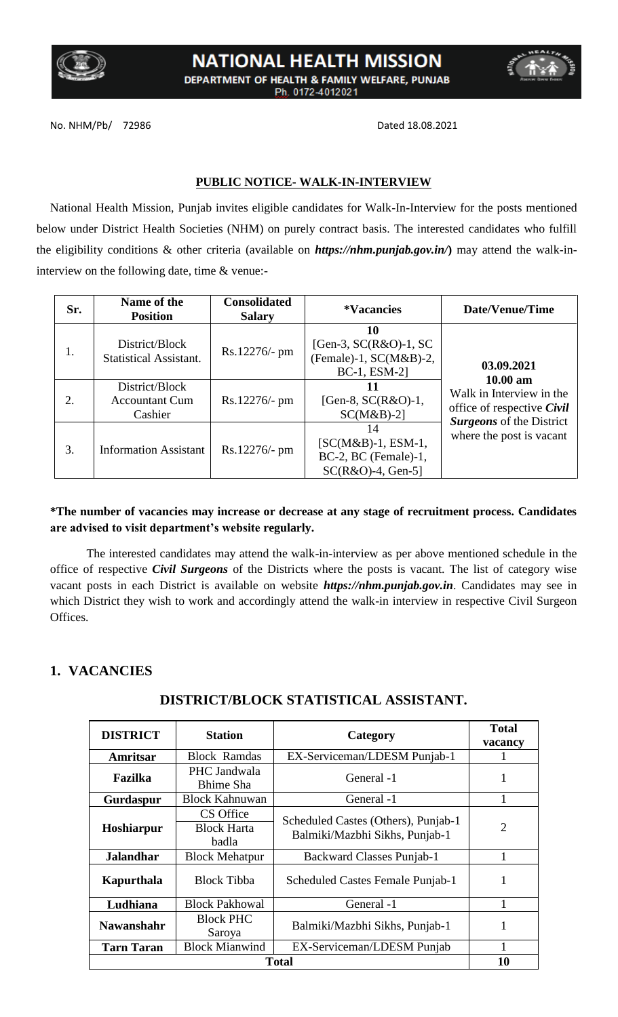

# **NATIONAL HEALTH MISSION** DEPARTMENT OF HEALTH & FAMILY WELFARE, PUNJAB Ph. 0172-4012021

No. NHM/Pb/ 72986 Dated 18.08.2021

#### **PUBLIC NOTICE- WALK-IN-INTERVIEW**

National Health Mission, Punjab invites eligible candidates for Walk-In-Interview for the posts mentioned below under District Health Societies (NHM) on purely contract basis. The interested candidates who fulfill the eligibility conditions & other criteria (available on *https://nhm.punjab.gov.in/***)** may attend the walk-ininterview on the following date, time & venue:-

| Sr. | Name of the<br><b>Position</b>                     | <b>Consolidated</b><br><b>Salary</b> | <i><b>*Vacancies</b></i>                                                             | Date/Venue/Time                                                                     |  |
|-----|----------------------------------------------------|--------------------------------------|--------------------------------------------------------------------------------------|-------------------------------------------------------------------------------------|--|
| 1.  | District/Block<br><b>Statistical Assistant.</b>    | $Rs.12276/- pm$                      | 10<br>[Gen-3, $SC(R&O)-1$ , $SC$<br>(Female)-1, $SC(M&B)$ -2,<br><b>BC-1, ESM-21</b> | 03.09.2021                                                                          |  |
| 2.  | District/Block<br><b>Accountant Cum</b><br>Cashier | $Rs.12276/- pm$                      | П<br>[Gen-8, $SC(R&O)-1$ ,<br>$SC(M&B)$ -2]                                          | $10.00 \text{ am}$<br>Walk in Interview in the<br>office of respective <i>Civil</i> |  |
| 3.  | <b>Information Assistant</b>                       | $Rs.12276/- pm$                      | 14<br>$[SC(M&B)-1, ESM-1,$<br>$BC-2$ , $BC$ (Female)-1,<br>$SC(R&O)-4$ , Gen-5]      | <b>Surgeons</b> of the District<br>where the post is vacant                         |  |

#### **\*The number of vacancies may increase or decrease at any stage of recruitment process. Candidates are advised to visit department's website regularly.**

The interested candidates may attend the walk-in-interview as per above mentioned schedule in the office of respective *Civil Surgeons* of the Districts where the posts is vacant. The list of category wise vacant posts in each District is available on website *https://nhm.punjab.gov.in*. Candidates may see in which District they wish to work and accordingly attend the walk-in interview in respective Civil Surgeon Offices.

## **1. VACANCIES**

## **DISTRICT/BLOCK STATISTICAL ASSISTANT.**

| <b>DISTRICT</b>   | <b>Station</b>                           | Category                                                              | <b>Total</b><br>vacancy |
|-------------------|------------------------------------------|-----------------------------------------------------------------------|-------------------------|
| Amritsar          | <b>Block Ramdas</b>                      | EX-Serviceman/LDESM Punjab-1                                          |                         |
| Fazilka           | PHC Jandwala<br>Bhime Sha                | General -1                                                            | $\bf{l}$                |
| Gurdaspur         | <b>Block Kahnuwan</b>                    | General -1                                                            |                         |
| Hoshiarpur        | CS Office<br><b>Block Harta</b><br>badla | Scheduled Castes (Others), Punjab-1<br>Balmiki/Mazbhi Sikhs, Punjab-1 | $\overline{2}$          |
| <b>Jalandhar</b>  | <b>Block Mehatpur</b>                    | Backward Classes Punjab-1                                             |                         |
| Kapurthala        | <b>Block Tibba</b>                       | Scheduled Castes Female Punjab-1                                      |                         |
| Ludhiana          | <b>Block Pakhowal</b>                    | General -1                                                            |                         |
| <b>Nawanshahr</b> | <b>Block PHC</b><br>Saroya               | Balmiki/Mazbhi Sikhs, Punjab-1                                        |                         |
| <b>Tarn Taran</b> | <b>Block Mianwind</b>                    | EX-Serviceman/LDESM Punjab                                            |                         |
| <b>Total</b>      |                                          |                                                                       | 10                      |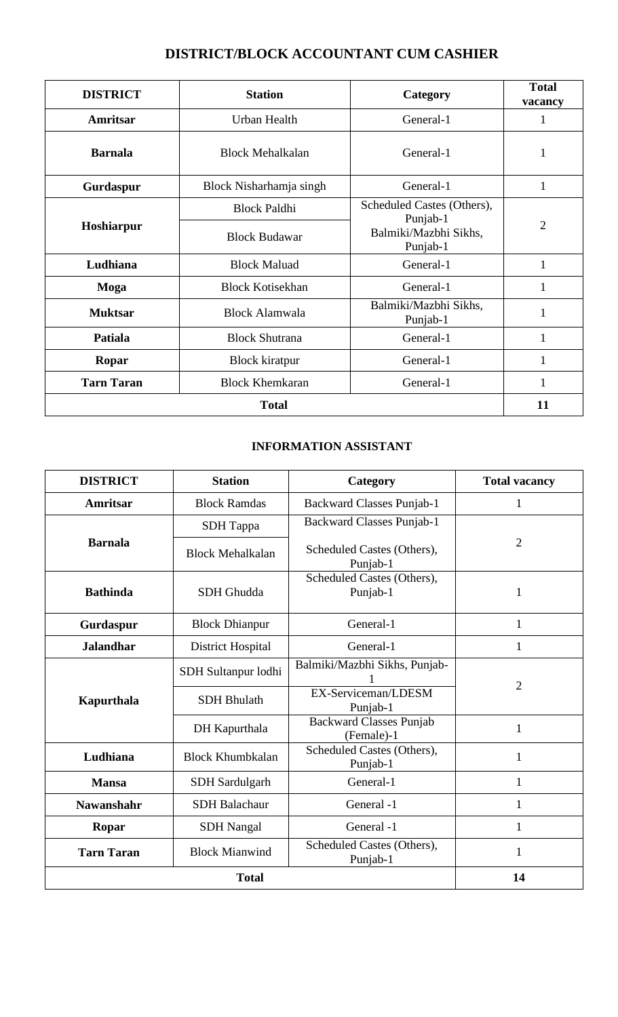# **DISTRICT/BLOCK ACCOUNTANT CUM CASHIER**

| <b>DISTRICT</b>   | <b>Station</b>          | Category                                      | <b>Total</b><br>vacancy |
|-------------------|-------------------------|-----------------------------------------------|-------------------------|
| Amritsar          | Urban Health            | General-1                                     | 1                       |
| <b>Barnala</b>    | <b>Block Mehalkalan</b> | General-1                                     | 1                       |
| Gurdaspur         | Block Nisharhamja singh | General-1                                     | $\mathbf{1}$            |
|                   | <b>Block Paldhi</b>     | Scheduled Castes (Others),                    | $\overline{2}$          |
| Hoshiarpur        | <b>Block Budawar</b>    | Punjab-1<br>Balmiki/Mazbhi Sikhs,<br>Punjab-1 |                         |
| Ludhiana          | <b>Block Maluad</b>     | General-1                                     | $\mathbf{1}$            |
| Moga              | <b>Block Kotisekhan</b> | General-1                                     | 1                       |
| <b>Muktsar</b>    | <b>Block Alamwala</b>   | Balmiki/Mazbhi Sikhs,<br>Punjab-1             | 1                       |
| Patiala           | <b>Block Shutrana</b>   | General-1                                     | $\mathbf{1}$            |
| Ropar             | <b>Block kiratpur</b>   | General-1                                     | 1                       |
| <b>Tarn Taran</b> | <b>Block Khemkaran</b>  | General-1                                     | 1                       |
| <b>Total</b>      |                         |                                               |                         |

# **INFORMATION ASSISTANT**

| <b>DISTRICT</b>   | <b>Station</b>           | Category                                     | <b>Total vacancy</b> |  |
|-------------------|--------------------------|----------------------------------------------|----------------------|--|
| <b>Amritsar</b>   | <b>Block Ramdas</b>      | <b>Backward Classes Punjab-1</b>             | 1                    |  |
|                   | <b>SDH</b> Tappa         | <b>Backward Classes Punjab-1</b>             |                      |  |
| <b>Barnala</b>    | <b>Block Mehalkalan</b>  | Scheduled Castes (Others),<br>Punjab-1       | 2                    |  |
| <b>Bathinda</b>   | <b>SDH</b> Ghudda        | Scheduled Castes (Others),<br>Punjab-1       | $\mathbf{1}$         |  |
| Gurdaspur         | <b>Block Dhianpur</b>    | General-1                                    | 1                    |  |
| <b>Jalandhar</b>  | <b>District Hospital</b> | General-1                                    | 1                    |  |
|                   | SDH Sultanpur lodhi      | Balmiki/Mazbhi Sikhs, Punjab-                |                      |  |
| Kapurthala        | <b>SDH Bhulath</b>       | EX-Serviceman/LDESM<br>Punjab-1              | 2                    |  |
|                   | DH Kapurthala            | <b>Backward Classes Punjab</b><br>(Female)-1 | $\mathbf{1}$         |  |
| Ludhiana          | <b>Block Khumbkalan</b>  | Scheduled Castes (Others),<br>Punjab-1       | $\mathbf{1}$         |  |
| <b>Mansa</b>      | <b>SDH</b> Sardulgarh    | General-1                                    | $\mathbf{1}$         |  |
| <b>Nawanshahr</b> | <b>SDH Balachaur</b>     | General -1                                   | $\mathbf{1}$         |  |
| Ropar             | <b>SDH</b> Nangal        | General -1                                   | $\mathbf{1}$         |  |
| <b>Tarn Taran</b> | <b>Block Mianwind</b>    | Scheduled Castes (Others),<br>Punjab-1       | $\mathbf{1}$         |  |
|                   | <b>Total</b>             |                                              | 14                   |  |